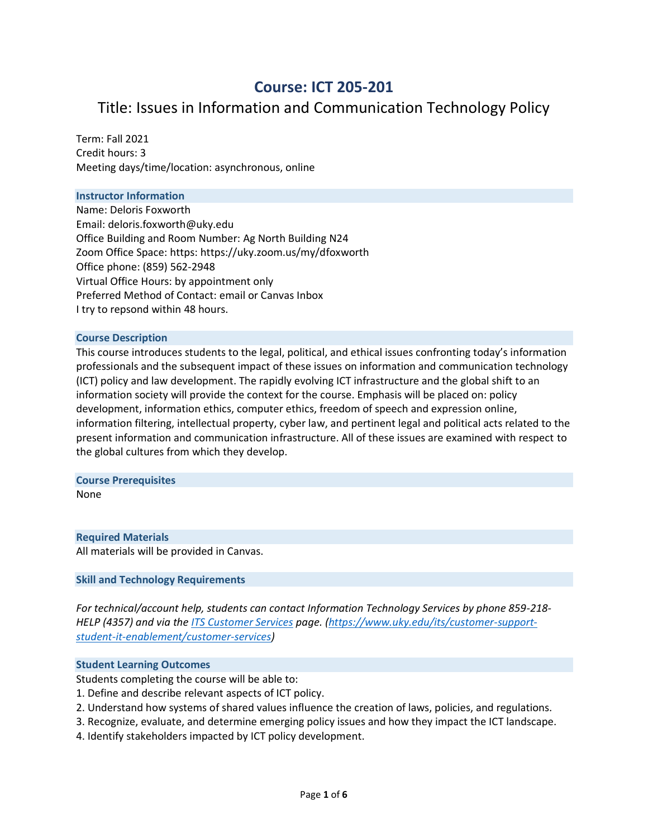# **Course: ICT 205-201**

# Title: Issues in Information and Communication Technology Policy

Term: Fall 2021 Credit hours: 3 Meeting days/time/location: asynchronous, online

## **Instructor Information**

Name: Deloris Foxworth Email: deloris.foxworth@uky.edu Office Building and Room Number: Ag North Building N24 Zoom Office Space: https: https://uky.zoom.us/my/dfoxworth Office phone: (859) 562-2948 Virtual Office Hours: by appointment only Preferred Method of Contact: email or Canvas Inbox I try to repsond within 48 hours.

#### **Course Description**

This course introduces students to the legal, political, and ethical issues confronting today's information professionals and the subsequent impact of these issues on information and communication technology (ICT) policy and law development. The rapidly evolving ICT infrastructure and the global shift to an information society will provide the context for the course. Emphasis will be placed on: policy development, information ethics, computer ethics, freedom of speech and expression online, information filtering, intellectual property, cyber law, and pertinent legal and political acts related to the present information and communication infrastructure. All of these issues are examined with respect to the global cultures from which they develop.

#### **Course Prerequisites**

None

# **Required Materials**

All materials will be provided in Canvas.

## **Skill and Technology Requirements**

*For technical/account help, students can contact Information Technology Services by phone 859-218- HELP (4357) and via th[e ITS Customer Services](https://www.uky.edu/its/customer-support-student-it-enablement/customer-services) page. [\(https://www.uky.edu/its/customer-support](https://www.uky.edu/its/customer-support-student-it-enablement/customer-services)[student-it-enablement/customer-services\)](https://www.uky.edu/its/customer-support-student-it-enablement/customer-services)* 

#### **Student Learning Outcomes**

Students completing the course will be able to:

- 1. Define and describe relevant aspects of ICT policy.
- 2. Understand how systems of shared values influence the creation of laws, policies, and regulations.
- 3. Recognize, evaluate, and determine emerging policy issues and how they impact the ICT landscape.
- 4. Identify stakeholders impacted by ICT policy development.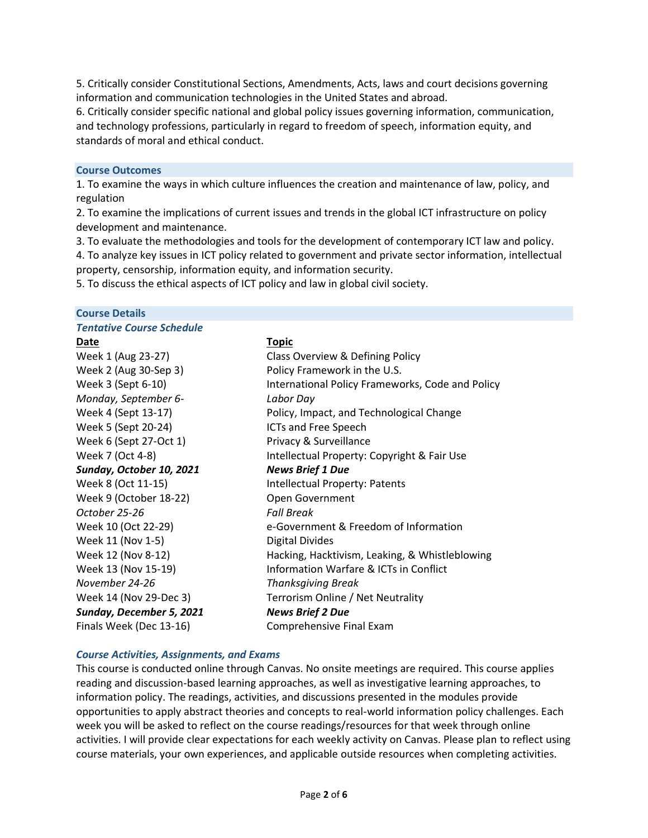5. Critically consider Constitutional Sections, Amendments, Acts, laws and court decisions governing information and communication technologies in the United States and abroad.

6. Critically consider specific national and global policy issues governing information, communication, and technology professions, particularly in regard to freedom of speech, information equity, and standards of moral and ethical conduct.

#### **Course Outcomes**

1. To examine the ways in which culture influences the creation and maintenance of law, policy, and regulation

2. To examine the implications of current issues and trends in the global ICT infrastructure on policy development and maintenance.

3. To evaluate the methodologies and tools for the development of contemporary ICT law and policy.

4. To analyze key issues in ICT policy related to government and private sector information, intellectual property, censorship, information equity, and information security.

5. To discuss the ethical aspects of ICT policy and law in global civil society.

**Course Details**

| <b>Tentative Course Schedule</b> |                                                  |
|----------------------------------|--------------------------------------------------|
| Date                             | <u>Topic</u>                                     |
| Week 1 (Aug 23-27)               | Class Overview & Defining Policy                 |
| Week 2 (Aug 30-Sep 3)            | Policy Framework in the U.S.                     |
| Week 3 (Sept 6-10)               | International Policy Frameworks, Code and Policy |
| Monday, September 6-             | Labor Day                                        |
| Week 4 (Sept 13-17)              | Policy, Impact, and Technological Change         |
| Week 5 (Sept 20-24)              | ICTs and Free Speech                             |
| Week 6 (Sept 27-Oct 1)           | Privacy & Surveillance                           |
| Week 7 (Oct 4-8)                 | Intellectual Property: Copyright & Fair Use      |
| Sunday, October 10, 2021         | <b>News Brief 1 Due</b>                          |
| Week 8 (Oct 11-15)               | Intellectual Property: Patents                   |
| Week 9 (October 18-22)           | Open Government                                  |
| October 25-26                    | <b>Fall Break</b>                                |
| Week 10 (Oct 22-29)              | e-Government & Freedom of Information            |
| Week 11 (Nov 1-5)                | Digital Divides                                  |
| Week 12 (Nov 8-12)               | Hacking, Hacktivism, Leaking, & Whistleblowing   |
| Week 13 (Nov 15-19)              | Information Warfare & ICTs in Conflict           |
| November 24-26                   | <b>Thanksgiving Break</b>                        |
| Week 14 (Nov 29-Dec 3)           | Terrorism Online / Net Neutrality                |
| Sunday, December 5, 2021         | <b>News Brief 2 Due</b>                          |
| Finals Week (Dec 13-16)          | Comprehensive Final Exam                         |

## *Course Activities, Assignments, and Exams*

This course is conducted online through Canvas. No onsite meetings are required. This course applies reading and discussion-based learning approaches, as well as investigative learning approaches, to information policy. The readings, activities, and discussions presented in the modules provide opportunities to apply abstract theories and concepts to real-world information policy challenges. Each week you will be asked to reflect on the course readings/resources for that week through online activities. I will provide clear expectations for each weekly activity on Canvas. Please plan to reflect using course materials, your own experiences, and applicable outside resources when completing activities.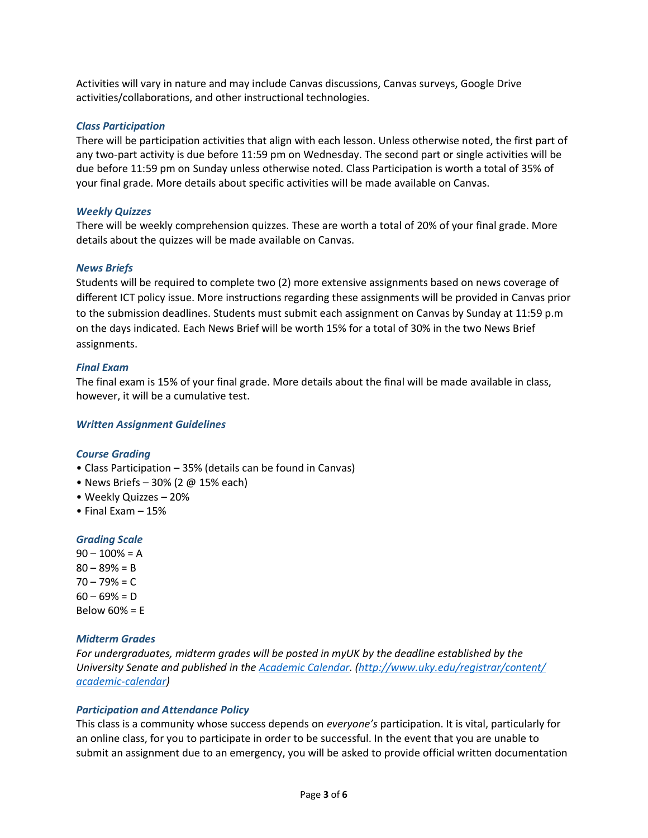Activities will vary in nature and may include Canvas discussions, Canvas surveys, Google Drive activities/collaborations, and other instructional technologies.

## *Class Participation*

There will be participation activities that align with each lesson. Unless otherwise noted, the first part of any two-part activity is due before 11:59 pm on Wednesday. The second part or single activities will be due before 11:59 pm on Sunday unless otherwise noted. Class Participation is worth a total of 35% of your final grade. More details about specific activities will be made available on Canvas.

## *Weekly Quizzes*

There will be weekly comprehension quizzes. These are worth a total of 20% of your final grade. More details about the quizzes will be made available on Canvas.

## *News Briefs*

Students will be required to complete two (2) more extensive assignments based on news coverage of different ICT policy issue. More instructions regarding these assignments will be provided in Canvas prior to the submission deadlines. Students must submit each assignment on Canvas by Sunday at 11:59 p.m on the days indicated. Each News Brief will be worth 15% for a total of 30% in the two News Brief assignments.

## *Final Exam*

The final exam is 15% of your final grade. More details about the final will be made available in class, however, it will be a cumulative test.

# *Written Assignment Guidelines*

# *Course Grading*

- Class Participation 35% (details can be found in Canvas)
- News Briefs 30% (2 @ 15% each)
- Weekly Quizzes 20%
- Final Exam 15%

# *Grading Scale*

 $90 - 100\% = A$  $80 - 89% = B$  $70 - 79% = C$  $60 - 69% = D$ Below 60% = E

# *Midterm Grades*

*For undergraduates, midterm grades will be posted in myUK by the deadline established by the University Senate and published in th[e Academic Calendar.](http://www.uky.edu/registrar/content/academic-calendar) [\(http://www.uky.edu/registrar/content/](http://www.uky.edu/registrar/content/%E2%80%8Cacademic-calendar) [academic-calendar\)](http://www.uky.edu/registrar/content/%E2%80%8Cacademic-calendar)* 

# *Participation and Attendance Policy*

This class is a community whose success depends on *everyone's* participation. It is vital, particularly for an online class, for you to participate in order to be successful. In the event that you are unable to submit an assignment due to an emergency, you will be asked to provide official written documentation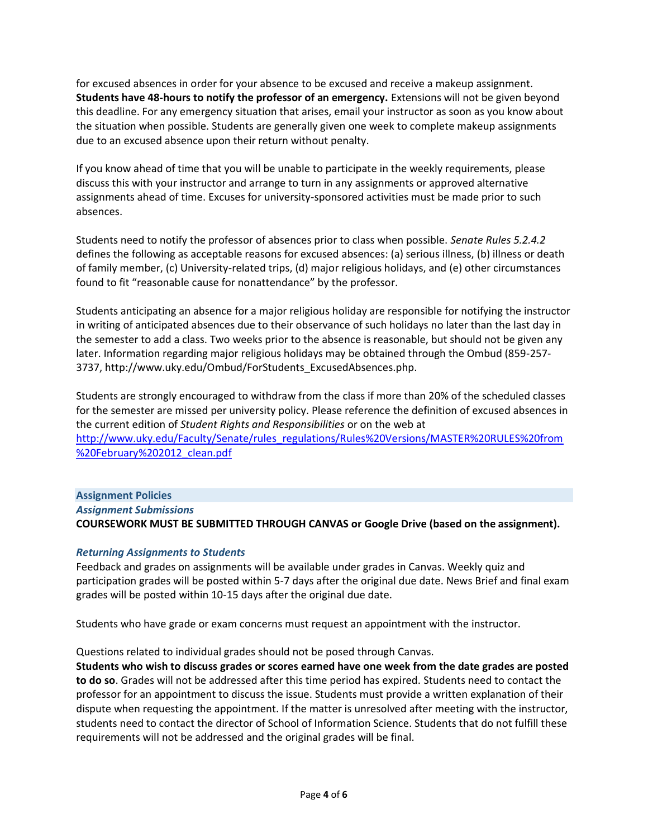for excused absences in order for your absence to be excused and receive a makeup assignment. **Students have 48-hours to notify the professor of an emergency.** Extensions will not be given beyond this deadline. For any emergency situation that arises, email your instructor as soon as you know about the situation when possible. Students are generally given one week to complete makeup assignments due to an excused absence upon their return without penalty.

If you know ahead of time that you will be unable to participate in the weekly requirements, please discuss this with your instructor and arrange to turn in any assignments or approved alternative assignments ahead of time. Excuses for university-sponsored activities must be made prior to such absences.

Students need to notify the professor of absences prior to class when possible. *Senate Rules 5.2.4.2*  defines the following as acceptable reasons for excused absences: (a) serious illness, (b) illness or death of family member, (c) University-related trips, (d) major religious holidays, and (e) other circumstances found to fit "reasonable cause for nonattendance" by the professor.

Students anticipating an absence for a major religious holiday are responsible for notifying the instructor in writing of anticipated absences due to their observance of such holidays no later than the last day in the semester to add a class. Two weeks prior to the absence is reasonable, but should not be given any later. Information regarding major religious holidays may be obtained through the Ombud (859-257- 3737, http://www.uky.edu/Ombud/ForStudents\_ExcusedAbsences.php.

Students are strongly encouraged to withdraw from the class if more than 20% of the scheduled classes for the semester are missed per university policy. Please reference the definition of excused absences in the current edition of *Student Rights and Responsibilities* or on the web at [http://www.uky.edu/Faculty/Senate/rules\\_regulations/Rules%20Versions/MASTER%20RULES%20from](http://www.uky.edu/Faculty/Senate/rules_regulations/Rules%20Versions/MASTER%20RULES%20from%20February%202012_clean.pdf) [%20February%202012\\_clean.pdf](http://www.uky.edu/Faculty/Senate/rules_regulations/Rules%20Versions/MASTER%20RULES%20from%20February%202012_clean.pdf)

# **Assignment Policies** *Assignment Submissions* **COURSEWORK MUST BE SUBMITTED THROUGH CANVAS or Google Drive (based on the assignment).**

# *Returning Assignments to Students*

Feedback and grades on assignments will be available under grades in Canvas. Weekly quiz and participation grades will be posted within 5-7 days after the original due date. News Brief and final exam grades will be posted within 10-15 days after the original due date.

Students who have grade or exam concerns must request an appointment with the instructor.

# Questions related to individual grades should not be posed through Canvas.

**Students who wish to discuss grades or scores earned have one week from the date grades are posted to do so**. Grades will not be addressed after this time period has expired. Students need to contact the professor for an appointment to discuss the issue. Students must provide a written explanation of their dispute when requesting the appointment. If the matter is unresolved after meeting with the instructor, students need to contact the director of School of Information Science. Students that do not fulfill these requirements will not be addressed and the original grades will be final.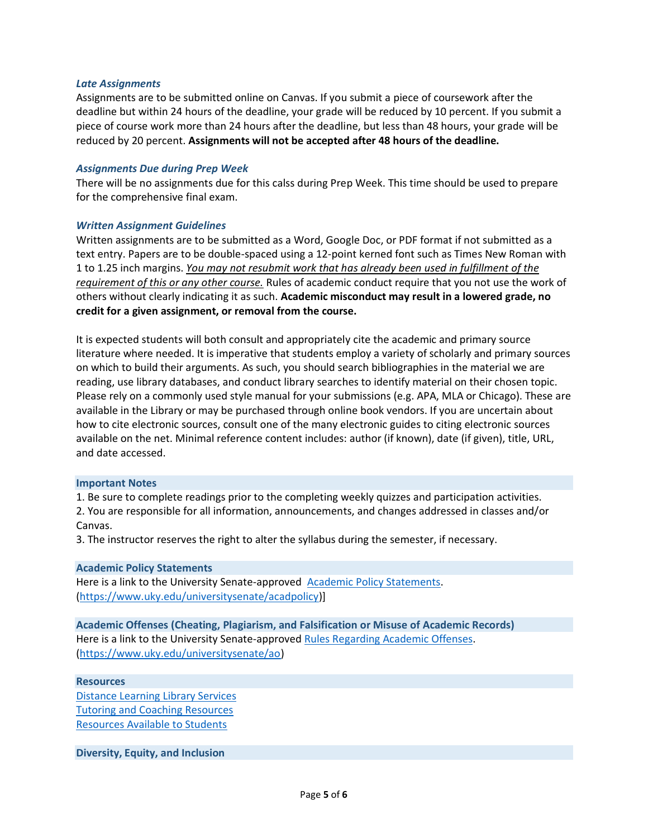#### *Late Assignments*

Assignments are to be submitted online on Canvas. If you submit a piece of coursework after the deadline but within 24 hours of the deadline, your grade will be reduced by 10 percent. If you submit a piece of course work more than 24 hours after the deadline, but less than 48 hours, your grade will be reduced by 20 percent. **Assignments will not be accepted after 48 hours of the deadline.**

## *Assignments Due during Prep Week*

There will be no assignments due for this calss during Prep Week. This time should be used to prepare for the comprehensive final exam.

#### *Written Assignment Guidelines*

Written assignments are to be submitted as a Word, Google Doc, or PDF format if not submitted as a text entry. Papers are to be double-spaced using a 12-point kerned font such as Times New Roman with 1 to 1.25 inch margins. *You may not resubmit work that has already been used in fulfillment of the requirement of this or any other course.* Rules of academic conduct require that you not use the work of others without clearly indicating it as such. **Academic misconduct may result in a lowered grade, no credit for a given assignment, or removal from the course.**

It is expected students will both consult and appropriately cite the academic and primary source literature where needed. It is imperative that students employ a variety of scholarly and primary sources on which to build their arguments. As such, you should search bibliographies in the material we are reading, use library databases, and conduct library searches to identify material on their chosen topic. Please rely on a commonly used style manual for your submissions (e.g. APA, MLA or Chicago). These are available in the Library or may be purchased through online book vendors. If you are uncertain about how to cite electronic sources, consult one of the many electronic guides to citing electronic sources available on the net. Minimal reference content includes: author (if known), date (if given), title, URL, and date accessed.

#### **Important Notes**

1. Be sure to complete readings prior to the completing weekly quizzes and participation activities.

2. You are responsible for all information, announcements, and changes addressed in classes and/or Canvas.

3. The instructor reserves the right to alter the syllabus during the semester, if necessary.

#### **Academic Policy Statements**

Here is a link to the University Senate-approved [Academic Policy Statements.](https://www.uky.edu/universitysenate/acadpolicy) [\(https://www.uky.edu/universitysenate/acadpolicy\)](https://www.uky.edu/universitysenate/acadpolicy)]

**Academic Offenses (Cheating, Plagiarism, and Falsification or Misuse of Academic Records)** Here is a link to the University Senate-approved [Rules Regarding Academic Offenses.](https://www.uky.edu/universitysenate/ao) [\(https://www.uky.edu/universitysenate/ao\)](https://www.uky.edu/universitysenate/ao)

## **Resources**

[Distance Learning Library Services](https://libraries.uky.edu/page.php?lweb_id=1020) [Tutoring and Coaching Resources](https://www.uky.edu/studentacademicsupport/free-tutoring-and-coaching-resources) [Resources Available to Students](https://www.uky.edu/universitysenate/student-resources)

**Diversity, Equity, and Inclusion**